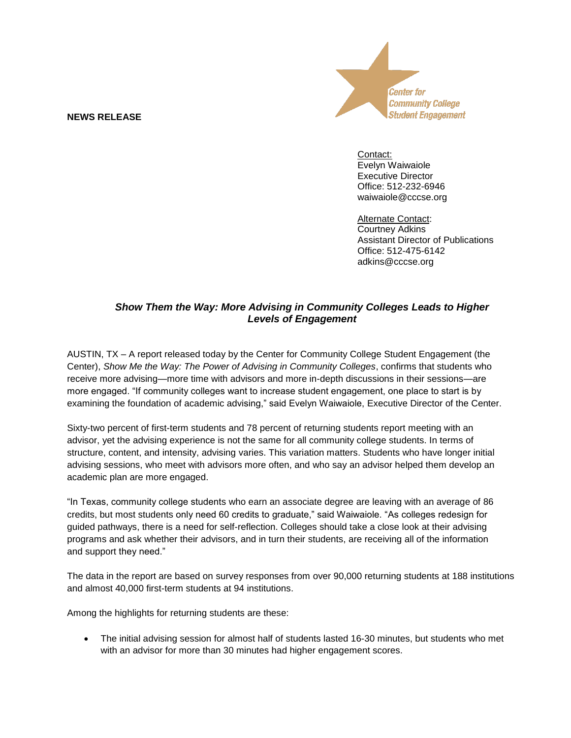## **NEWS RELEASE**



Contact: Evelyn Waiwaiole Executive Director Office: 512-232-6946 waiwaiole@cccse.org

Alternate Contact: Courtney Adkins Assistant Director of Publications Office: 512-475-6142 adkins@cccse.org

## *Show Them the Way: More Advising in Community Colleges Leads to Higher Levels of Engagement*

AUSTIN, TX – A report released today by the Center for Community College Student Engagement (the Center), *Show Me the Way: The Power of Advising in Community Colleges*, confirms that students who receive more advising—more time with advisors and more in-depth discussions in their sessions—are more engaged. "If community colleges want to increase student engagement, one place to start is by examining the foundation of academic advising," said Evelyn Waiwaiole, Executive Director of the Center.

Sixty-two percent of first-term students and 78 percent of returning students report meeting with an advisor, yet the advising experience is not the same for all community college students. In terms of structure, content, and intensity, advising varies. This variation matters. Students who have longer initial advising sessions, who meet with advisors more often, and who say an advisor helped them develop an academic plan are more engaged.

"In Texas, community college students who earn an associate degree are leaving with an average of 86 credits, but most students only need 60 credits to graduate," said Waiwaiole. "As colleges redesign for guided pathways, there is a need for self-reflection. Colleges should take a close look at their advising programs and ask whether their advisors, and in turn their students, are receiving all of the information and support they need."

The data in the report are based on survey responses from over 90,000 returning students at 188 institutions and almost 40,000 first-term students at 94 institutions.

Among the highlights for returning students are these:

 The initial advising session for almost half of students lasted 16-30 minutes, but students who met with an advisor for more than 30 minutes had higher engagement scores.